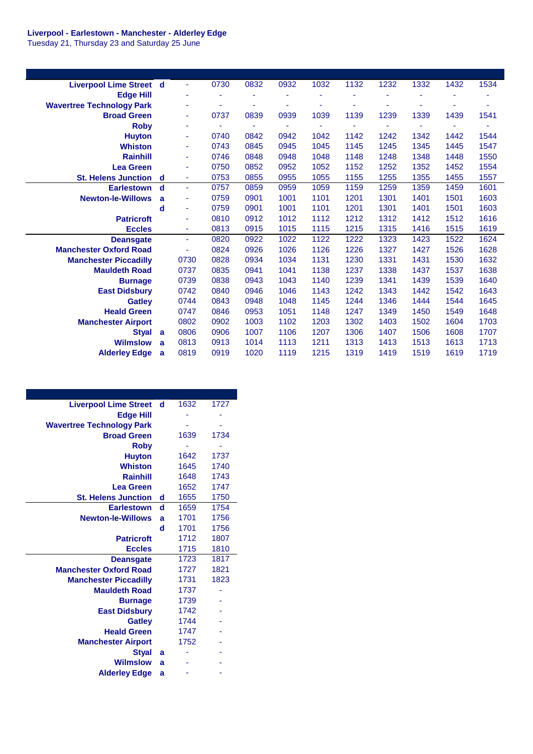## **Liverpool - Earlestown - Manchester - Alderley Edge**

Tuesday 21, Thursday 23 and Saturday 25 June

| <b>Liverpool Lime Street d</b> | ٠                        | 0730                                                         | 0832                                                         | 0932                                                                         | 1032                                                                         | 1132                                                                                 | 1232                                                                                         | 1332                                                                                 | 1432                                                                                 | 1534                                                                                 |
|--------------------------------|--------------------------|--------------------------------------------------------------|--------------------------------------------------------------|------------------------------------------------------------------------------|------------------------------------------------------------------------------|--------------------------------------------------------------------------------------|----------------------------------------------------------------------------------------------|--------------------------------------------------------------------------------------|--------------------------------------------------------------------------------------|--------------------------------------------------------------------------------------|
|                                | ä,                       | ٠                                                            |                                                              |                                                                              |                                                                              |                                                                                      | ٠                                                                                            |                                                                                      |                                                                                      |                                                                                      |
|                                | ٠                        |                                                              |                                                              |                                                                              |                                                                              |                                                                                      |                                                                                              |                                                                                      |                                                                                      |                                                                                      |
|                                | Ξ                        | 0737                                                         | 0839                                                         | 0939                                                                         | 1039                                                                         | 1139                                                                                 | 1239                                                                                         | 1339                                                                                 | 1439                                                                                 | 1541                                                                                 |
|                                | ٠                        | ٠                                                            |                                                              | ٠                                                                            |                                                                              | ٠                                                                                    | ٠                                                                                            |                                                                                      | $\sim$                                                                               |                                                                                      |
|                                | ٠                        | 0740                                                         | 0842                                                         | 0942                                                                         | 1042                                                                         | 1142                                                                                 | 1242                                                                                         | 1342                                                                                 | 1442                                                                                 | 1544                                                                                 |
|                                | ÷                        | 0743                                                         | 0845                                                         | 0945                                                                         | 1045                                                                         | 1145                                                                                 | 1245                                                                                         | 1345                                                                                 | 1445                                                                                 | 1547                                                                                 |
|                                | $\overline{\phantom{a}}$ | 0746                                                         | 0848                                                         | 0948                                                                         | 1048                                                                         | 1148                                                                                 | 1248                                                                                         | 1348                                                                                 | 1448                                                                                 | 1550                                                                                 |
|                                | ä,                       | 0750                                                         | 0852                                                         | 0952                                                                         | 1052                                                                         | 1152                                                                                 | 1252                                                                                         | 1352                                                                                 | 1452                                                                                 | 1554                                                                                 |
| ୍ d                            | ä,                       | 0753                                                         | 0855                                                         | 0955                                                                         | 1055                                                                         | 1155                                                                                 | 1255                                                                                         |                                                                                      | 1455                                                                                 | 1557                                                                                 |
| d                              | $\blacksquare$           | 0757                                                         | 0859                                                         | 0959                                                                         | 1059                                                                         | 1159                                                                                 | 1259                                                                                         | 1359                                                                                 | 1459                                                                                 | 1601                                                                                 |
| a                              | ÷                        | 0759                                                         | 0901                                                         | 1001                                                                         | 1101                                                                         | 1201                                                                                 | 1301                                                                                         | 1401                                                                                 | 1501                                                                                 | 1603                                                                                 |
| d                              | ÷                        | 0759                                                         | 0901                                                         | 1001                                                                         | 1101                                                                         | 1201                                                                                 | 1301                                                                                         | 1401                                                                                 | 1501                                                                                 | 1603                                                                                 |
|                                | ÷                        | 0810                                                         | 0912                                                         | 1012                                                                         | 1112                                                                         | 1212                                                                                 | 1312                                                                                         | 1412                                                                                 | 1512                                                                                 | 1616                                                                                 |
|                                | ٠                        | 0813                                                         | 0915                                                         | 1015                                                                         | 1115                                                                         |                                                                                      | 1315                                                                                         | 1416                                                                                 | 1515                                                                                 | 1619                                                                                 |
|                                | $\blacksquare$           | 0820                                                         |                                                              |                                                                              |                                                                              |                                                                                      |                                                                                              |                                                                                      |                                                                                      | 1624                                                                                 |
|                                | ÷                        | 0824                                                         |                                                              |                                                                              |                                                                              |                                                                                      |                                                                                              |                                                                                      |                                                                                      | 1628                                                                                 |
|                                |                          |                                                              |                                                              |                                                                              |                                                                              |                                                                                      |                                                                                              |                                                                                      |                                                                                      | 1632                                                                                 |
|                                | 0737                     | 0835                                                         | 0941                                                         | 1041                                                                         |                                                                              |                                                                                      |                                                                                              | 1437                                                                                 |                                                                                      | 1638                                                                                 |
|                                | 0739                     | 0838                                                         | 0943                                                         | 1043                                                                         | 1140                                                                         | 1239                                                                                 | 1341                                                                                         | 1439                                                                                 | 1539                                                                                 | 1640                                                                                 |
|                                |                          |                                                              |                                                              |                                                                              |                                                                              |                                                                                      |                                                                                              |                                                                                      |                                                                                      | 1643                                                                                 |
|                                |                          |                                                              |                                                              |                                                                              |                                                                              |                                                                                      |                                                                                              |                                                                                      |                                                                                      | 1645                                                                                 |
|                                |                          |                                                              |                                                              |                                                                              |                                                                              |                                                                                      |                                                                                              |                                                                                      |                                                                                      | 1648                                                                                 |
|                                |                          |                                                              |                                                              |                                                                              |                                                                              |                                                                                      |                                                                                              |                                                                                      |                                                                                      | 1703                                                                                 |
| a                              |                          |                                                              |                                                              |                                                                              |                                                                              |                                                                                      |                                                                                              |                                                                                      |                                                                                      | 1707                                                                                 |
| a                              |                          |                                                              |                                                              |                                                                              |                                                                              |                                                                                      |                                                                                              |                                                                                      |                                                                                      | 1713                                                                                 |
| a                              |                          |                                                              |                                                              |                                                                              |                                                                              |                                                                                      |                                                                                              |                                                                                      |                                                                                      | 1719                                                                                 |
|                                |                          | 0730<br>0742<br>0744<br>0747<br>0802<br>0806<br>0813<br>0819 | 0828<br>0840<br>0843<br>0846<br>0902<br>0906<br>0913<br>0919 | 0922<br>0926<br>0934<br>0946<br>0948<br>0953<br>1003<br>1007<br>1014<br>1020 | 1022<br>1026<br>1034<br>1046<br>1048<br>1051<br>1102<br>1106<br>1113<br>1119 | 1122<br>1126<br>1131<br>1138<br>1143<br>1145<br>1148<br>1203<br>1207<br>1211<br>1215 | 1215<br>1222<br>1226<br>1230<br>1237<br>1242<br>1244<br>1247<br>1302<br>1306<br>1313<br>1319 | 1323<br>1327<br>1331<br>1338<br>1343<br>1346<br>1349<br>1403<br>1407<br>1413<br>1419 | 1355<br>1423<br>1427<br>1431<br>1442<br>1444<br>1450<br>1502<br>1506<br>1513<br>1519 | 1522<br>1526<br>1530<br>1537<br>1542<br>1544<br>1549<br>1604<br>1608<br>1613<br>1619 |

| <b>Liverpool Lime Street</b>     | - d | 1632 | 1727 |
|----------------------------------|-----|------|------|
| <b>Edge Hill</b>                 |     |      |      |
| <b>Wavertree Technology Park</b> |     |      |      |
| <b>Broad Green</b>               |     | 1639 | 1734 |
| <b>Roby</b>                      |     |      |      |
| <b>Huyton</b>                    |     | 1642 | 1737 |
| <b>Whiston</b>                   |     | 1645 | 1740 |
| <b>Rainhill</b>                  |     | 1648 | 1743 |
| <b>Lea Green</b>                 |     | 1652 | 1747 |
| <b>St. Helens Junction</b>       | d   | 1655 | 1750 |
| <b>Earlestown</b>                | d   | 1659 | 1754 |
| <b>Newton-le-Willows</b>         | a   | 1701 | 1756 |
|                                  | d   | 1701 | 1756 |
| <b>Patricroft</b>                |     | 1712 | 1807 |
| <b>Eccles</b>                    |     | 1715 | 1810 |
| <b>Deansgate</b>                 |     | 1723 | 1817 |
| <b>Manchester Oxford Road</b>    |     | 1727 | 1821 |
| <b>Manchester Piccadilly</b>     |     | 1731 | 1823 |
| <b>Mauldeth Road</b>             |     | 1737 |      |
| <b>Burnage</b>                   |     | 1739 |      |
| <b>East Didsbury</b>             |     | 1742 |      |
| <b>Gatley</b>                    |     | 1744 |      |
| <b>Heald Green</b>               |     | 1747 |      |
| <b>Manchester Airport</b>        |     | 1752 |      |
| <b>Styal</b>                     | a   |      |      |
| <b>Wilmslow</b>                  | a   |      |      |
| <b>Alderley Edge</b>             | a   |      |      |
|                                  |     |      |      |